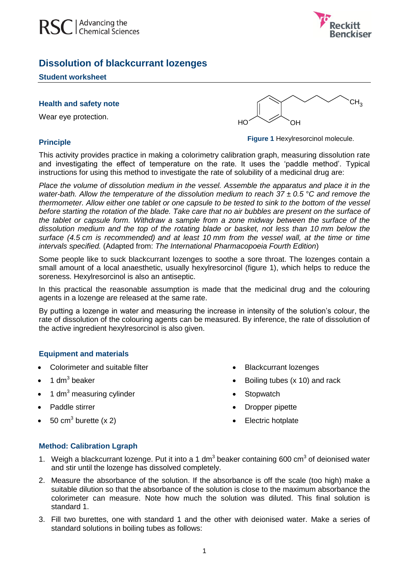



# **Dissolution of blackcurrant lozenges**

#### **Student worksheet**

#### **Health and safety note**

Wear eye protection.

### **Principle**



**Figure 1** Hexylresorcinol molecule.

This activity provides practice in making a colorimetry calibration graph, measuring dissolution rate and investigating the effect of temperature on the rate. It uses the 'paddle method'. Typical instructions for using this method to investigate the rate of solubility of a medicinal drug are:

*Place the volume of dissolution medium in the vessel. Assemble the apparatus and place it in the water-bath. Allow the temperature of the dissolution medium to reach 37 ± 0.5 °C and remove the thermometer. Allow either one tablet or one capsule to be tested to sink to the bottom of the vessel before starting the rotation of the blade. Take care that no air bubbles are present on the surface of the tablet or capsule form. Withdraw a sample from a zone midway between the surface of the dissolution medium and the top of the rotating blade or basket, not less than 10 mm below the surface (4.5 cm is recommended) and at least 10 mm from the vessel wall, at the time or time intervals specified.* (Adapted from: *The International Pharmacopoeia Fourth Edition*)

Some people like to suck blackcurrant lozenges to soothe a sore throat. The lozenges contain a small amount of a local anaesthetic, usually hexylresorcinol (figure 1), which helps to reduce the soreness. Hexylresorcinol is also an antiseptic.

In this practical the reasonable assumption is made that the medicinal drug and the colouring agents in a lozenge are released at the same rate.

By putting a lozenge in water and measuring the increase in intensity of the solution's colour, the rate of dissolution of the colouring agents can be measured. By inference, the rate of dissolution of the active ingredient hexylresorcinol is also given.

# **Equipment and materials**

- Colorimeter and suitable filter
- $\bullet$  1 dm<sup>3</sup> beaker
- 1 dm<sup>3</sup> measuring cylinder
- Paddle stirrer
- 50 cm<sup>3</sup> burette (x 2)
- Blackcurrant lozenges
- Boiling tubes (x 10) and rack
- **Stopwatch**
- Dropper pipette
- Electric hotplate

#### **Method: Calibration Lgraph**

- 1. Weigh a blackcurrant lozenge. Put it into a 1 dm<sup>3</sup> beaker containing 600 cm<sup>3</sup> of deionised water and stir until the lozenge has dissolved completely.
- 2. Measure the absorbance of the solution. If the absorbance is off the scale (too high) make a suitable dilution so that the absorbance of the solution is close to the maximum absorbance the colorimeter can measure. Note how much the solution was diluted. This final solution is standard 1.
- 3. Fill two burettes, one with standard 1 and the other with deionised water. Make a series of standard solutions in boiling tubes as follows: